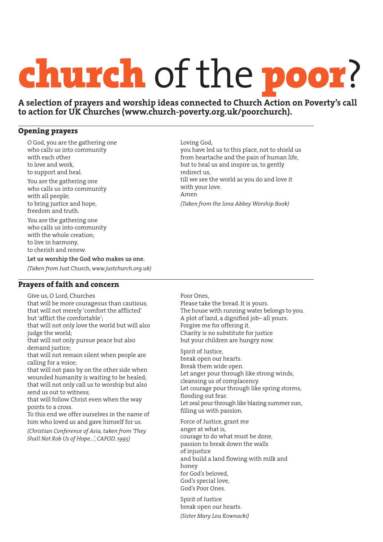# church of the poor?

**A selection of prayers and worship ideas connected to Church Action on Poverty's call to action for UK Churches (www.church-poverty.org.uk/poorchurch).**

## **Opening prayers**

O God, you are the gathering one who calls us into community with each other to love and work, to support and heal. You are the gathering one who calls us into community with all people; to bring justice and hope, freedom and truth. You are the gathering one who calls us into community with the whole creation; to live in harmony, to cherish and renew.

Loving God, you have led us to this place, not to shield us from heartache and the pain of human life, but to heal us and inspire us, to gently redirect us, till we see the world as you do and love it with your love. Amen *(Taken from the Iona Abbey Worship Book)*

**Let us worship the God who makes us one.**

*(Taken from* Just Church*, www.justchurch.org.uk)*

# **Prayers of faith and concern**

Give us, O Lord, Churches

that will be more courageous than cautious; that will not merely 'comfort the afflicted' but 'afflict the comfortable'; that will not only love the world but will also judge the world;

that will not only pursue peace but also demand justice;

that will not remain silent when people are calling for a voice;

that will not pass by on the other side when wounded humanity is waiting to be healed; that will not only call us to worship but also send us out to witness;

that will follow Christ even when the way points to a cross.

To this end we offer ourselves in the name of him who loved us and gave himself for us.

*(Christian Conference of Asia, taken from 'They Shall Not Rob Us of Hope…', CAFOD, 1995)*

#### Poor Ones,

Please take the bread. It is yours. The house with running water belongs to you. A plot of land, a dignified job– all yours. Forgive me for offering it. Charity is no substitute for justice but your children are hungry now.

Spirit of Justice, break open our hearts. Break them wide open. Let anger pour through like strong winds, cleansing us of complacency. Let courage pour through like spring storms, flooding out fear. Let zeal pour through like blazing summer sun, filling us with passion.

Force of Justice, grant me anger at what is, courage to do what must be done, passion to break down the walls of injustice and build a land flowing with milk and honey for God's beloved, God's special love, God's Poor Ones.

Spirit of Justice break open our hearts.

*(Sister Mary Lou Kownacki)*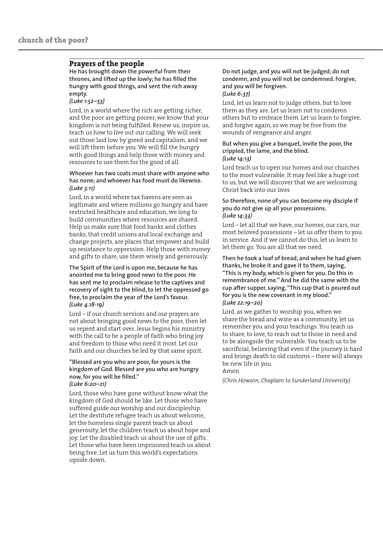# **Prayers of the people**

**He has brought down the powerful from their thrones, and lifted up the lowly; he has filled the hungry with good things, and sent the rich away empty.** 

#### *(Luke 1:52–53)*

Lord, in a world where the rich are getting richer, and the poor are getting poorer, we know that your kingdom is not being fulfilled. Renew us, inspire us, teach us how to live out our calling. We will seek out those laid low by greed and capitalism, and we will lift them before you. We will fill the hungry with good things and help those with money and resources to use them for the good of all.

#### **Whoever has two coats must share with anyone who has none; and whoever has food must do likewise.** *(Luke 3:11)*

Lord, in a world where tax havens are seen as legitimate and where millions go hungry and have restricted healthcare and education, we long to build communities where resources are shared. Help us make sure that food banks and clothes banks, that credit unions and local exchange and change projects, are places that empower and build up resistance to oppression. Help those with money and gifts to share, use them wisely and generously.

**The Spirit of the Lord is upon me, because he has anointed me to bring good news to the poor. He has sent me to proclaim release to the captives and recovery of sight to the blind, to let the oppressed go free,to proclaim the year of the Lord's favour.**  *(Luke 4.18-19)*

Lord – if our church services and our prayers are not about bringing good news to the poor, then let us repent and start over. Jesus begins his ministry with the call to be a people of faith who bring joy and freedom to those who need it most. Let our faith and our churches be led by that same spirit.

#### **"Blessed are you who are poor, for yours is the kingdom of God. Blessed are you who are hungry now, for you will be filled."**  *(Luke 6:20–21)*

Lord, those who have gone without know what the kingdom of God should be like. Let those who have suffered guide our worship and our discipleship. Let the destitute refugee teach us about welcome, let the homeless single parent teach us about generosity, let the children teach us about hope and joy. Let the disabled teach us about the use of gifts. Let those who have been imprisoned teach us about being free. Let us turn this world's expectations upside down.

#### **Do not judge, and you will not be judged; do not condemn, and you will not be condemned. Forgive, and you will be forgiven.** *(Luke 6:37)*

Lord, let us learn not to judge others, but to love them as they are. Let us learn not to condemn others but to embrace them. Let us learn to forgive, and forgive again, so we may be free from the wounds of vengeance and anger.

#### **But when you give a banquet, invite the poor, the crippled, the lame, and the blind.**  *(Luke 14:13)*

Lord teach us to open our homes and our churches to the most vulnerable. It may feel like a huge cost to us, but we will discover that we are welcoming Christ back into our lives

#### **So therefore, none of you can become my disciple if you do not give up all your possessions.**  *(Luke 14:33)*

Lord – let all that we have, our homes, our cars, our most beloved possessions – let us offer them to you in service. And if we cannot do this, let us learn to let them go. You are all that we need.

**Then he took a loaf of bread, and when he had given thanks, he broke it and gave it to them, saying, "This is my body, which is given for you. Do this in remembrance of me."And he did the same with the cup after supper, saying, "This cup that is poured out for you is the new covenant in my blood."**  *(Luke 22:19–20)*

Lord, as we gather to worship you, when we share the bread and wine as a community, let us remember you and your teachings. You teach us to share, to love, to reach out to those in need and to be alongside the vulnerable. You teach us to be sacrificial, believing that even if the journey is hard and brings death to old customs – there will always be new life in you.

### Amen

*(Chris Howson, Chaplain to Sunderland University)*